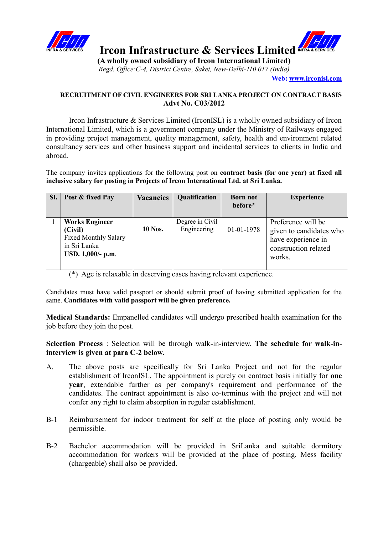



**IFRA & SERVICES Ircon Infrastructure & Services Limited** INFRA & SERVICES

**(A wholly owned subsidiary of Ircon International Limited)** *Regd. Office:C-4, District Centre, Saket, New-Delhi-110 017 (India)*

**Web[: www.irconisl.com](http://www.irconisl.com/)**

## **RECRUITMENT OF CIVIL ENGINEERS FOR SRI LANKA PROJECT ON CONTRACT BASIS Advt No. C03/2012**

Ircon Infrastructure & Services Limited (IrconISL) is a wholly owned subsidiary of Ircon International Limited, which is a government company under the Ministry of Railways engaged in providing project management, quality management, safety, health and environment related consultancy services and other business support and incidental services to clients in India and abroad.

The company invites applications for the following post on **contract basis (for one year) at fixed all inclusive salary for posting in Projects of Ircon International Ltd. at Sri Lanka.**

| SI. | Post & fixed Pay                                                                                     | <b>Vacancies</b> | <b>Qualification</b>           | <b>Born not</b><br>before* | <b>Experience</b>                                                                                     |
|-----|------------------------------------------------------------------------------------------------------|------------------|--------------------------------|----------------------------|-------------------------------------------------------------------------------------------------------|
|     | <b>Works Engineer</b><br>(Civil)<br><b>Fixed Monthly Salary</b><br>in Sri Lanka<br>USD. 1,000/- p.m. | <b>10 Nos.</b>   | Degree in Civil<br>Engineering | 01-01-1978                 | Preference will be<br>given to candidates who<br>have experience in<br>construction related<br>works. |

(\*) Age is relaxable in deserving cases having relevant experience.

Candidates must have valid passport or should submit proof of having submitted application for the same. **Candidates with valid passport will be given preference.**

**Medical Standards:** Empanelled candidates will undergo prescribed health examination for the job before they join the post.

**Selection Process** : Selection will be through walk-in-interview. **The schedule for walk-ininterview is given at para C-2 below.**

- A. The above posts are specifically for Sri Lanka Project and not for the regular establishment of IrconISL. The appointment is purely on contract basis initially for **one year**, extendable further as per company's requirement and performance of the candidates. The contract appointment is also co-terminus with the project and will not confer any right to claim absorption in regular establishment.
- B-1 Reimbursement for indoor treatment for self at the place of posting only would be permissible.
- B-2 Bachelor accommodation will be provided in SriLanka and suitable dormitory accommodation for workers will be provided at the place of posting. Mess facility (chargeable) shall also be provided.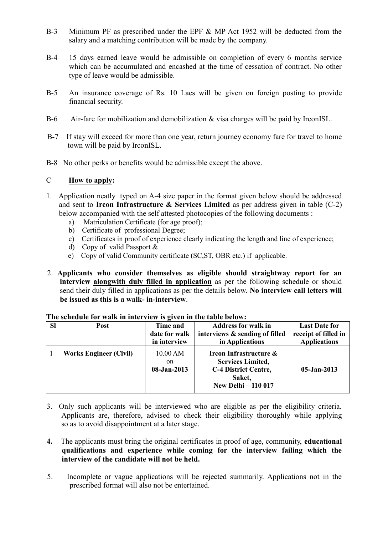- B-3 Minimum PF as prescribed under the EPF & MP Act 1952 will be deducted from the salary and a matching contribution will be made by the company.
- B-4 15 days earned leave would be admissible on completion of every 6 months service which can be accumulated and encashed at the time of cessation of contract. No other type of leave would be admissible.
- B-5 An insurance coverage of Rs. 10 Lacs will be given on foreign posting to provide financial security.
- B-6 Air-fare for mobilization and demobilization & visa charges will be paid by IrconISL.
- B-7 If stay will exceed for more than one year, return journey economy fare for travel to home town will be paid by IrconISL.
- B-8 No other perks or benefits would be admissible except the above.

## C **How to apply:**

- 1. Application neatly typed on A-4 size paper in the format given below should be addressed and sent to **Ircon Infrastructure & Services Limited** as per address given in table (C-2) below accompanied with the self attested photocopies of the following documents :
	- a) Matriculation Certificate (for age proof);
	- b) Certificate of professional Degree;
	- c) Certificates in proof of experience clearly indicating the length and line of experience;
	- d) Copy of valid Passport &
	- e) Copy of valid Community certificate (SC,ST, OBR etc.) if applicable.
- 2. **Applicants who consider themselves as eligible should straightway report for an interview alongwith duly filled in application** as per the following schedule or should send their duly filled in applications as per the details below. **No interview call letters will be issued as this is a walk- in-interview**.

| <b>SI</b> | Post                          | Time and<br>date for walk<br>in interview | <b>Address for walk in</b><br>interviews & sending of filled<br>in Applications                                           | <b>Last Date for</b><br>receipt of filled in<br><b>Applications</b> |
|-----------|-------------------------------|-------------------------------------------|---------------------------------------------------------------------------------------------------------------------------|---------------------------------------------------------------------|
|           | <b>Works Engineer (Civil)</b> | $10.00$ AM<br>on<br>08-Jan-2013           | Ircon Infrastructure &<br><b>Services Limited,</b><br><b>C-4 District Centre,</b><br>Saket,<br><b>New Delhi – 110 017</b> | $05 - Jan - 2013$                                                   |

## **The schedule for walk in interview is given in the table below:**

- 3. Only such applicants will be interviewed who are eligible as per the eligibility criteria. Applicants are, therefore, advised to check their eligibility thoroughly while applying so as to avoid disappointment at a later stage.
- **4.** The applicants must bring the original certificates in proof of age, community, **educational qualifications and experience while coming for the interview failing which the interview of the candidate will not be held.**
- 5. Incomplete or vague applications will be rejected summarily. Applications not in the prescribed format will also not be entertained.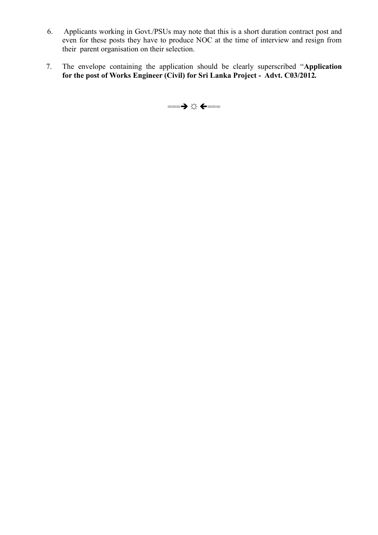- 6. Applicants working in Govt./PSUs may note that this is a short duration contract post and even for these posts they have to produce NOC at the time of interview and resign from their parent organisation on their selection.
- 7. The envelope containing the application should be clearly superscribed "**Application for the post of Works Engineer (Civil) for Sri Lanka Project - Advt. C03/2012***.*